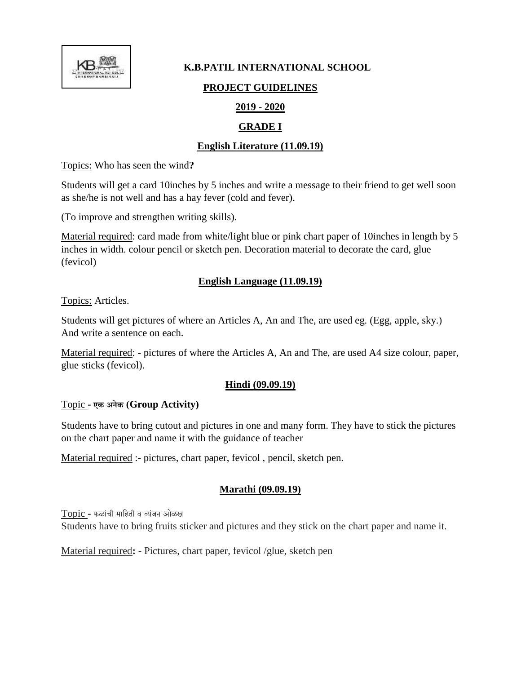

#### **K.B.PATIL INTERNATIONAL SCHOOL**

### **PROJECT GUIDELINES**

## **2019 - 2020**

# **GRADE I**

# **English Literature (11.09.19)**

Topics: Who has seen the wind**?**

Students will get a card 10inches by 5 inches and write a message to their friend to get well soon as she/he is not well and has a hay fever (cold and fever).

(To improve and strengthen writing skills).

Material required: card made from white/light blue or pink chart paper of 10inches in length by 5 inches in width. colour pencil or sketch pen. Decoration material to decorate the card, glue (fevicol)

### **English Language (11.09.19)**

Topics: Articles.

Students will get pictures of where an Articles A, An and The, are used eg. (Egg, apple, sky.) And write a sentence on each.

Material required: - pictures of where the Articles A, An and The, are used A4 size colour, paper, glue sticks (fevicol).

## **Hindi (09.09.19)**

#### Topic **- एक अनेक (Group Activity)**

Students have to bring cutout and pictures in one and many form. They have to stick the pictures on the chart paper and name it with the guidance of teacher

Material required :- pictures, chart paper, fevicol , pencil, sketch pen.

## **Marathi (09.09.19)**

Topic **-** फळ ांची म हिती व व्यांजन ओळख

Students have to bring fruits sticker and pictures and they stick on the chart paper and name it.

Material required**: -** Pictures, chart paper, fevicol /glue, sketch pen